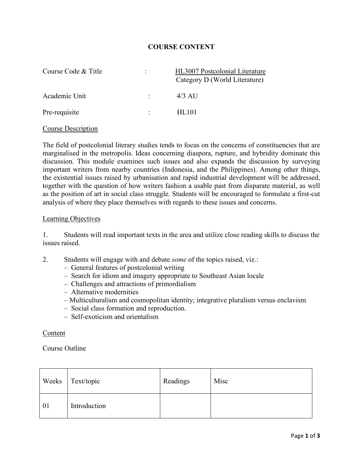# **COURSE CONTENT**

| Course Code & Title | HL3007 Postcolonial Literature<br>Category D (World Literature) |
|---------------------|-----------------------------------------------------------------|
| Academic Unit       | $4/3$ AU                                                        |
| Pre-requisite       | HL101                                                           |

#### Course Description

The field of postcolonial literary studies tends to focus on the concerns of constituencies that are marginalised in the metropolis. Ideas concerning diaspora, rupture, and hybridity dominate this discussion. This module examines such issues and also expands the discussion by surveying important writers from nearby countries (Indonesia, and the Philippines). Among other things, the existential issues raised by urbanisation and rapid industrial development will be addressed, together with the question of how writers fashion a usable past from disparate material, as well as the position of art in social class struggle. Students will be encouraged to formulate a first-cut analysis of where they place themselves with regards to these issues and concerns.

#### Learning Objectives

1. Students will read important texts in the area and utilize close reading skills to discuss the issues raised.

- 2. Students will engage with and debate *some* of the topics raised, viz.:
	- General features of postcolonial writing
	- Search for idiom and imagery appropriate to Southeast Asian locale
	- Challenges and attractions of primordialism
	- Alternative modernities
	- Multiculturalism and cosmopolitan identity; integrative pluralism versus enclavism
	- Social class formation and reproduction.
	- Self-exoticism and orientalism

#### Content

## Course Outline

| Weeks | Text/topic   | Readings | Misc |
|-------|--------------|----------|------|
| 01    | Introduction |          |      |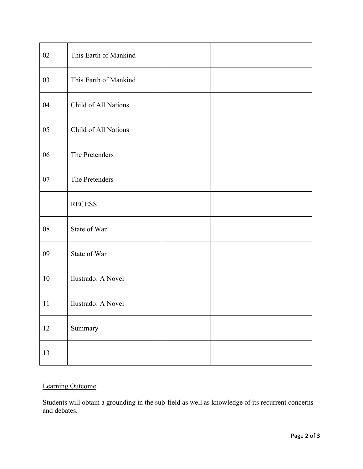| 02 | This Earth of Mankind |  |
|----|-----------------------|--|
| 03 | This Earth of Mankind |  |
| 04 | Child of All Nations  |  |
| 05 | Child of All Nations  |  |
| 06 | The Pretenders        |  |
| 07 | The Pretenders        |  |
|    | <b>RECESS</b>         |  |
| 08 | State of War          |  |
| 09 | State of War          |  |
| 10 | Ilustrado: A Novel    |  |
| 11 | Ilustrado: A Novel    |  |
| 12 | Summary               |  |
| 13 |                       |  |

# Learning Outcome

Students will obtain a grounding in the sub-field as well as knowledge of its recurrent concerns and debates.